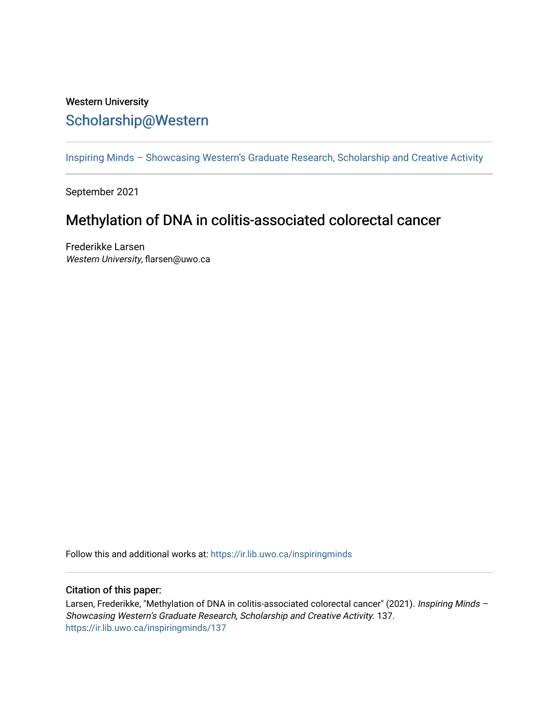## Western University [Scholarship@Western](https://ir.lib.uwo.ca/)

[Inspiring Minds – Showcasing Western's Graduate Research, Scholarship and Creative Activity](https://ir.lib.uwo.ca/inspiringminds) 

September 2021

## Methylation of DNA in colitis-associated colorectal cancer

Frederikke Larsen Western University, flarsen@uwo.ca

Follow this and additional works at: [https://ir.lib.uwo.ca/inspiringminds](https://ir.lib.uwo.ca/inspiringminds?utm_source=ir.lib.uwo.ca%2Finspiringminds%2F137&utm_medium=PDF&utm_campaign=PDFCoverPages) 

## Citation of this paper:

Larsen, Frederikke, "Methylation of DNA in colitis-associated colorectal cancer" (2021). Inspiring Minds -Showcasing Western's Graduate Research, Scholarship and Creative Activity. 137. [https://ir.lib.uwo.ca/inspiringminds/137](https://ir.lib.uwo.ca/inspiringminds/137?utm_source=ir.lib.uwo.ca%2Finspiringminds%2F137&utm_medium=PDF&utm_campaign=PDFCoverPages)